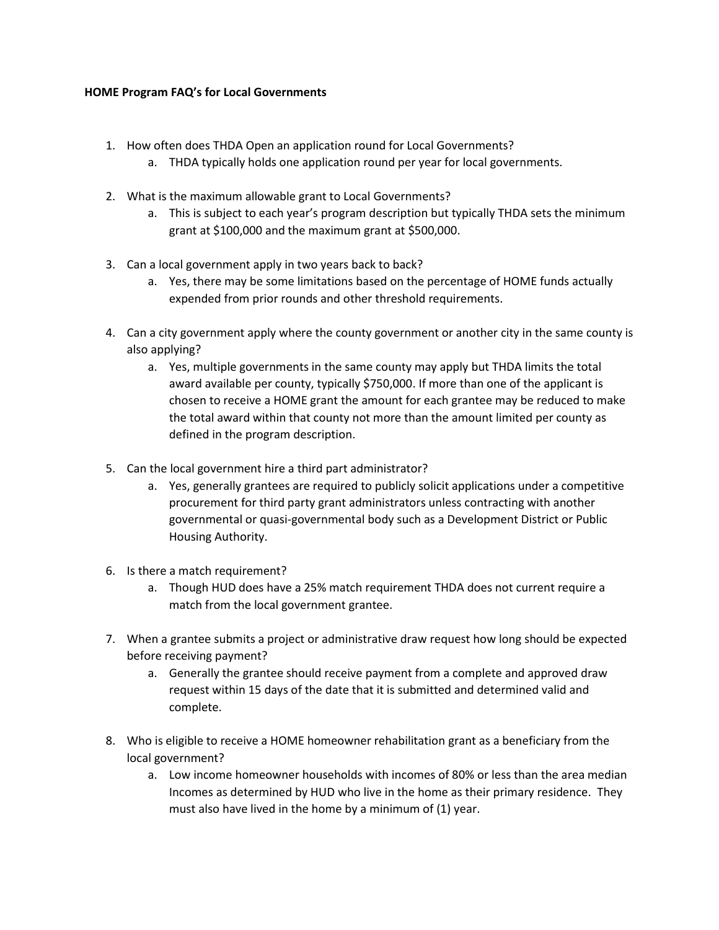## **HOME Program FAQ's for Local Governments**

- 1. How often does THDA Open an application round for Local Governments?
	- a. THDA typically holds one application round per year for local governments.
- 2. What is the maximum allowable grant to Local Governments?
	- a. This is subject to each year's program description but typically THDA sets the minimum grant at \$100,000 and the maximum grant at \$500,000.
- 3. Can a local government apply in two years back to back?
	- a. Yes, there may be some limitations based on the percentage of HOME funds actually expended from prior rounds and other threshold requirements.
- 4. Can a city government apply where the county government or another city in the same county is also applying?
	- a. Yes, multiple governments in the same county may apply but THDA limits the total award available per county, typically \$750,000. If more than one of the applicant is chosen to receive a HOME grant the amount for each grantee may be reduced to make the total award within that county not more than the amount limited per county as defined in the program description.
- 5. Can the local government hire a third part administrator?
	- a. Yes, generally grantees are required to publicly solicit applications under a competitive procurement for third party grant administrators unless contracting with another governmental or quasi-governmental body such as a Development District or Public Housing Authority.
- 6. Is there a match requirement?
	- a. Though HUD does have a 25% match requirement THDA does not current require a match from the local government grantee.
- 7. When a grantee submits a project or administrative draw request how long should be expected before receiving payment?
	- a. Generally the grantee should receive payment from a complete and approved draw request within 15 days of the date that it is submitted and determined valid and complete.
- 8. Who is eligible to receive a HOME homeowner rehabilitation grant as a beneficiary from the local government?
	- a. Low income homeowner households with incomes of 80% or less than the area median Incomes as determined by HUD who live in the home as their primary residence. They must also have lived in the home by a minimum of (1) year.